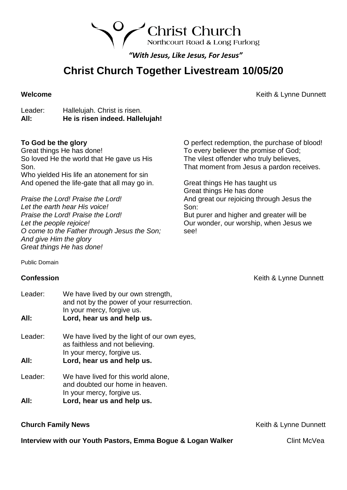Northcourt Road & Long Furlong

**Christ Church** 

*"With Jesus, Like Jesus, For Jesus"*

# **Christ Church Together Livestream 10/05/20**

**Welcome Welcome Welcome Welcome Keith & Lynne Dunnett** 

Leader: Hallelujah. Christ is risen. **All: He is risen indeed. Hallelujah!**

## **To God be the glory**

Great things He has done! So loved He the world that He gave us His Son. Who yielded His life an atonement for sin And opened the life-gate that all may go in.

*Praise the Lord! Praise the Lord! Let the earth hear His voice! Praise the Lord! Praise the Lord! Let the people rejoice! O come to the Father through Jesus the Son; And give Him the glory Great things He has done!*

O perfect redemption, the purchase of blood! To every believer the promise of God; The vilest offender who truly believes, That moment from Jesus a pardon receives.

Great things He has taught us Great things He has done And great our rejoicing through Jesus the Son:

But purer and higher and greater will be Our wonder, our worship, when Jesus we see!

Public Domain

Leader: We have lived by our own strength, and not by the power of your resurrection. In your mercy, forgive us. **All: Lord, hear us and help us.** Leader: We have lived by the light of our own eyes, as faithless and not believing. In your mercy, forgive us. **All: Lord, hear us and help us.** Leader: We have lived for this world alone, and doubted our home in heaven. In your mercy, forgive us.

**All: Lord, hear us and help us.**

**Interview with our Youth Pastors, Emma Bogue & Logan Walker Clint McVea** 

**Confession Confession Confession Confession Confession Confession Confession Confession Confession Confession Confession Confession Confession Confession Confession Confession Confession**

**Church Family News Church Family News Keith & Lynne Dunnett**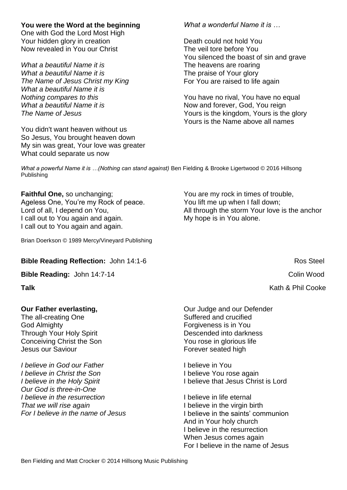# **You were the Word at the beginning**

One with God the Lord Most High Your hidden glory in creation Now revealed in You our Christ

*What a beautiful Name it is What a beautiful Name it is The Name of Jesus Christ my King What a beautiful Name it is Nothing compares to this What a beautiful Name it is The Name of Jesus*

You didn't want heaven without us So Jesus, You brought heaven down My sin was great, Your love was greater What could separate us now

### *What a wonderful Name it is …*

Death could not hold You The veil tore before You You silenced the boast of sin and grave The heavens are roaring The praise of Your glory For You are raised to life again

You have no rival, You have no equal Now and forever, God, You reign Yours is the kingdom, Yours is the glory Yours is the Name above all names

*What a powerful Name it is ...(Nothing can stand against)* Ben Fielding & Brooke Ligertwood © 2016 Hillsong Publishing

**Faithful One,** so unchanging; Ageless One, You're my Rock of peace. Lord of all, I depend on You, I call out to You again and again. I call out to You again and again.

Brian Doerkson © 1989 Mercy/Vineyard Publishing

### **Bible Reading Reflection:** John 14:1-6 Ros Steel

**Bible Reading:** John 14:7-14 Colin Wood

### **Our Father everlasting,**

The all-creating One God Almighty Through Your Holy Spirit Conceiving Christ the Son Jesus our Saviour

*I believe in God our Father I believe in Christ the Son I believe in the Holy Spirit Our God is three-in-One I believe in the resurrection That we will rise again For I believe in the name of Jesus* You are my rock in times of trouble, You lift me up when I fall down; All through the storm Your love is the anchor My hope is in You alone.

**Talk** Kath & Phil Cooke

Our Judge and our Defender Suffered and crucified Forgiveness is in You Descended into darkness You rose in glorious life Forever seated high

I believe in You I believe You rose again I believe that Jesus Christ is Lord

I believe in life eternal I believe in the virgin birth I believe in the saints' communion And in Your holy church I believe in the resurrection When Jesus comes again For I believe in the name of Jesus